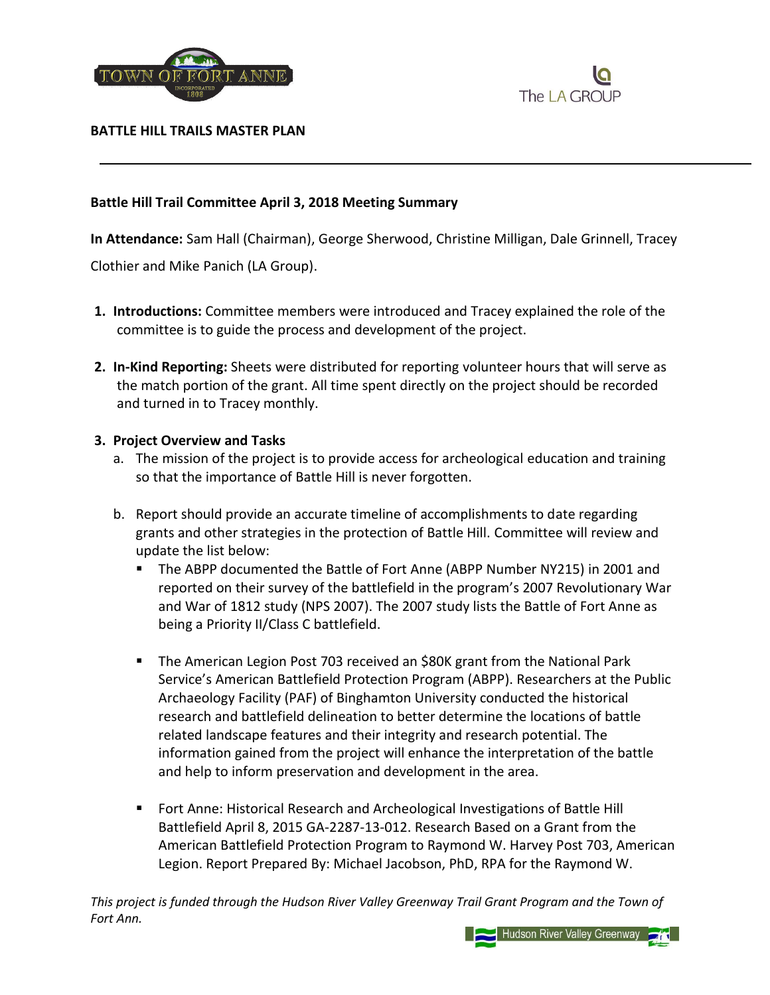



**BATTLE HILL TRAILS MASTER PLAN**

## **Battle Hill Trail Committee April 3, 2018 Meeting Summary**

**In Attendance:** Sam Hall (Chairman), George Sherwood, Christine Milligan, Dale Grinnell, Tracey

Clothier and Mike Panich (LA Group).

- **1. Introductions:** Committee members were introduced and Tracey explained the role of the committee is to guide the process and development of the project.
- **2. In-Kind Reporting:** Sheets were distributed for reporting volunteer hours that will serve as the match portion of the grant. All time spent directly on the project should be recorded and turned in to Tracey monthly.

## **3. Project Overview and Tasks**

- a. The mission of the project is to provide access for archeological education and training so that the importance of Battle Hill is never forgotten.
- b. Report should provide an accurate timeline of accomplishments to date regarding grants and other strategies in the protection of Battle Hill. Committee will review and update the list below:
	- The ABPP documented the Battle of Fort Anne (ABPP Number NY215) in 2001 and reported on their survey of the battlefield in the program's 2007 Revolutionary War and War of 1812 study (NPS 2007). The 2007 study lists the Battle of Fort Anne as being a Priority II/Class C battlefield.
	- **The American Legion Post 703 received an \$80K grant from the National Park** Service's American Battlefield Protection Program (ABPP). Researchers at the Public Archaeology Facility (PAF) of Binghamton University conducted the historical research and battlefield delineation to better determine the locations of battle related landscape features and their integrity and research potential. The information gained from the project will enhance the interpretation of the battle and help to inform preservation and development in the area.
	- **F** Fort Anne: Historical Research and Archeological Investigations of Battle Hill Battlefield April 8, 2015 GA-2287-13-012. Research Based on a Grant from the American Battlefield Protection Program to Raymond W. Harvey Post 703, American Legion. Report Prepared By: Michael Jacobson, PhD, RPA for the Raymond W.

*This project is funded through the Hudson River Valley Greenway Trail Grant Program and the Town of Fort Ann.*

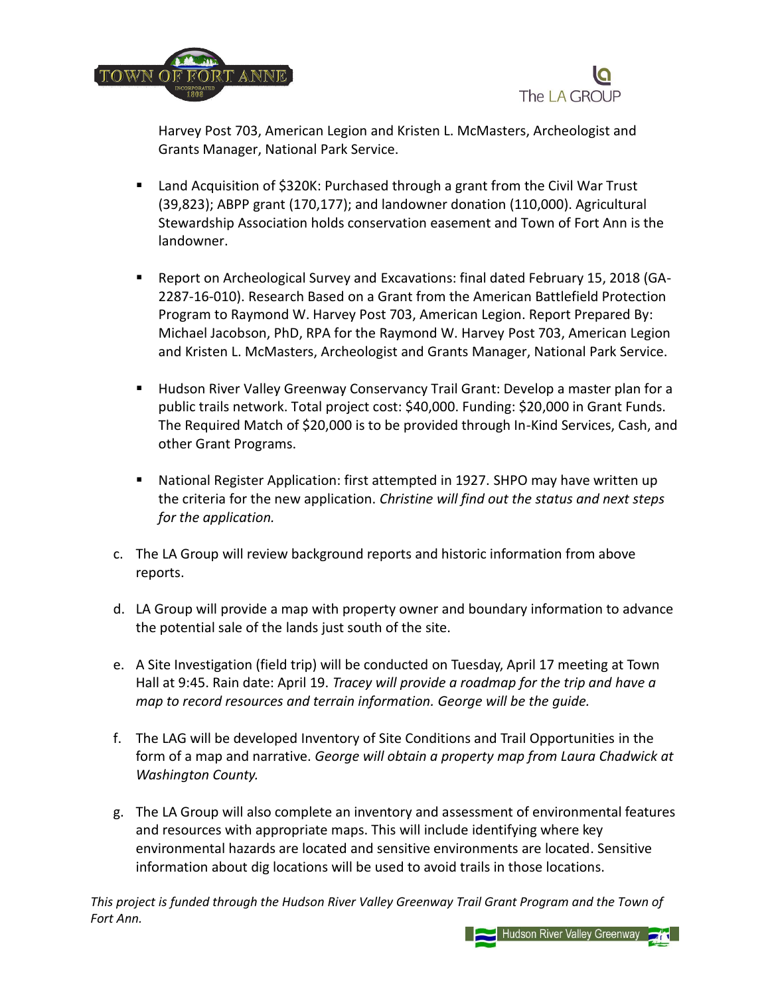



Harvey Post 703, American Legion and Kristen L. McMasters, Archeologist and Grants Manager, National Park Service.

- Land Acquisition of \$320K: Purchased through a grant from the Civil War Trust (39,823); ABPP grant (170,177); and landowner donation (110,000). Agricultural Stewardship Association holds conservation easement and Town of Fort Ann is the landowner.
- Report on Archeological Survey and Excavations: final dated February 15, 2018 (GA-2287-16-010). Research Based on a Grant from the American Battlefield Protection Program to Raymond W. Harvey Post 703, American Legion. Report Prepared By: Michael Jacobson, PhD, RPA for the Raymond W. Harvey Post 703, American Legion and Kristen L. McMasters, Archeologist and Grants Manager, National Park Service.
- Hudson River Valley Greenway Conservancy Trail Grant: Develop a master plan for a public trails network. Total project cost: \$40,000. Funding: \$20,000 in Grant Funds. The Required Match of \$20,000 is to be provided through In-Kind Services, Cash, and other Grant Programs.
- National Register Application: first attempted in 1927. SHPO may have written up the criteria for the new application. *Christine will find out the status and next steps for the application.*
- c. The LA Group will review background reports and historic information from above reports.
- d. LA Group will provide a map with property owner and boundary information to advance the potential sale of the lands just south of the site.
- e. A Site Investigation (field trip) will be conducted on Tuesday, April 17 meeting at Town Hall at 9:45. Rain date: April 19. *Tracey will provide a roadmap for the trip and have a map to record resources and terrain information. George will be the guide.*
- f. The LAG will be developed Inventory of Site Conditions and Trail Opportunities in the form of a map and narrative. *George will obtain a property map from Laura Chadwick at Washington County.*
- g. The LA Group will also complete an inventory and assessment of environmental features and resources with appropriate maps. This will include identifying where key environmental hazards are located and sensitive environments are located. Sensitive information about dig locations will be used to avoid trails in those locations.

*This project is funded through the Hudson River Valley Greenway Trail Grant Program and the Town of Fort Ann.*